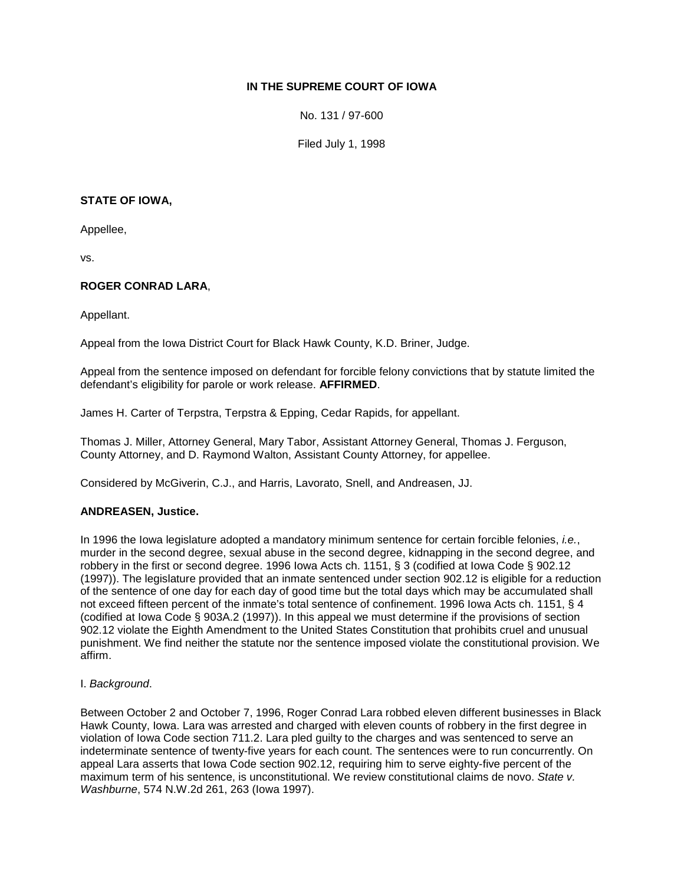# **IN THE SUPREME COURT OF IOWA**

No. 131 / 97-600

Filed July 1, 1998

### **STATE OF IOWA,**

Appellee,

vs.

# **ROGER CONRAD LARA**,

Appellant.

Appeal from the Iowa District Court for Black Hawk County, K.D. Briner, Judge.

Appeal from the sentence imposed on defendant for forcible felony convictions that by statute limited the defendant's eligibility for parole or work release. **AFFIRMED**.

James H. Carter of Terpstra, Terpstra & Epping, Cedar Rapids, for appellant.

Thomas J. Miller, Attorney General, Mary Tabor, Assistant Attorney General, Thomas J. Ferguson, County Attorney, and D. Raymond Walton, Assistant County Attorney, for appellee.

Considered by McGiverin, C.J., and Harris, Lavorato, Snell, and Andreasen, JJ.

### **ANDREASEN, Justice.**

In 1996 the Iowa legislature adopted a mandatory minimum sentence for certain forcible felonies, *i.e.*, murder in the second degree, sexual abuse in the second degree, kidnapping in the second degree, and robbery in the first or second degree. 1996 Iowa Acts ch. 1151, § 3 (codified at Iowa Code § 902.12 (1997)). The legislature provided that an inmate sentenced under section 902.12 is eligible for a reduction of the sentence of one day for each day of good time but the total days which may be accumulated shall not exceed fifteen percent of the inmate's total sentence of confinement. 1996 Iowa Acts ch. 1151, § 4 (codified at Iowa Code § 903A.2 (1997)). In this appeal we must determine if the provisions of section 902.12 violate the Eighth Amendment to the United States Constitution that prohibits cruel and unusual punishment. We find neither the statute nor the sentence imposed violate the constitutional provision. We affirm.

### I. *Background*.

Between October 2 and October 7, 1996, Roger Conrad Lara robbed eleven different businesses in Black Hawk County, Iowa. Lara was arrested and charged with eleven counts of robbery in the first degree in violation of Iowa Code section 711.2. Lara pled guilty to the charges and was sentenced to serve an indeterminate sentence of twenty-five years for each count. The sentences were to run concurrently. On appeal Lara asserts that Iowa Code section 902.12, requiring him to serve eighty-five percent of the maximum term of his sentence, is unconstitutional. We review constitutional claims de novo. *State v. Washburne*, 574 N.W.2d 261, 263 (Iowa 1997).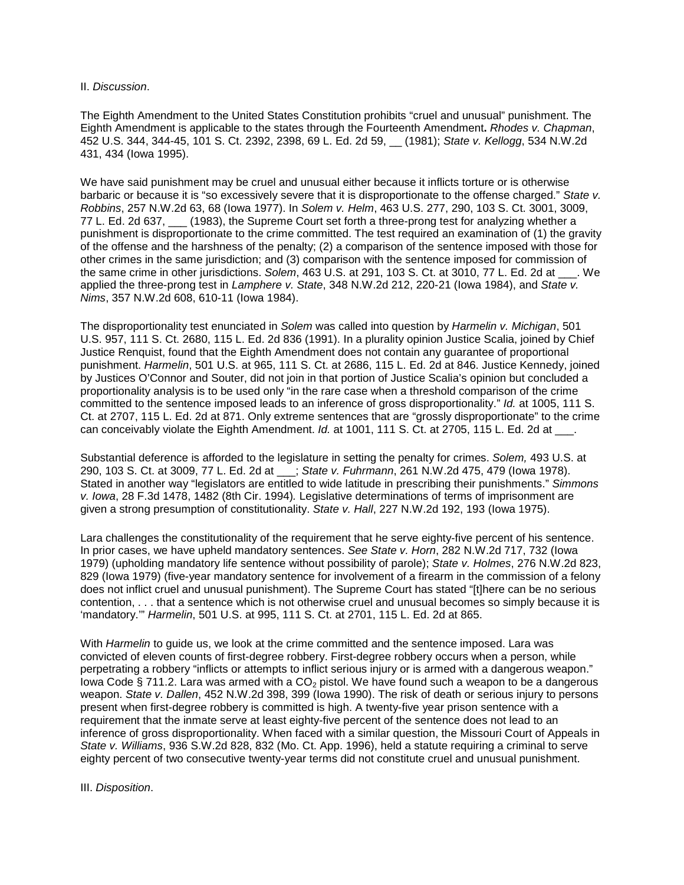#### II. *Discussion*.

The Eighth Amendment to the United States Constitution prohibits "cruel and unusual" punishment. The Eighth Amendment is applicable to the states through the Fourteenth Amendment**.** *Rhodes v. Chapman*, 452 U.S. 344, 344-45, 101 S. Ct. 2392, 2398, 69 L. Ed. 2d 59, \_\_ (1981); *State v. Kellogg*, 534 N.W.2d 431, 434 (Iowa 1995).

We have said punishment may be cruel and unusual either because it inflicts torture or is otherwise barbaric or because it is "so excessively severe that it is disproportionate to the offense charged." *State v. Robbins*, 257 N.W.2d 63, 68 (Iowa 1977). In *Solem v. Helm*, 463 U.S. 277, 290, 103 S. Ct. 3001, 3009, 77 L. Ed. 2d 637, \_\_\_ (1983), the Supreme Court set forth a three-prong test for analyzing whether a punishment is disproportionate to the crime committed. The test required an examination of (1) the gravity of the offense and the harshness of the penalty; (2) a comparison of the sentence imposed with those for other crimes in the same jurisdiction; and (3) comparison with the sentence imposed for commission of the same crime in other jurisdictions. *Solem*, 463 U.S. at 291, 103 S. Ct. at 3010, 77 L. Ed. 2d at \_\_\_. We applied the three-prong test in *Lamphere v. State*, 348 N.W.2d 212, 220-21 (Iowa 1984), and *State v. Nims*, 357 N.W.2d 608, 610-11 (Iowa 1984).

The disproportionality test enunciated in *Solem* was called into question by *Harmelin v. Michigan*, 501 U.S. 957, 111 S. Ct. 2680, 115 L. Ed. 2d 836 (1991). In a plurality opinion Justice Scalia, joined by Chief Justice Renquist, found that the Eighth Amendment does not contain any guarantee of proportional punishment. *Harmelin*, 501 U.S. at 965, 111 S. Ct. at 2686, 115 L. Ed. 2d at 846. Justice Kennedy, joined by Justices O'Connor and Souter, did not join in that portion of Justice Scalia's opinion but concluded a proportionality analysis is to be used only "in the rare case when a threshold comparison of the crime committed to the sentence imposed leads to an inference of gross disproportionality." *Id.* at 1005, 111 S. Ct. at 2707, 115 L. Ed. 2d at 871. Only extreme sentences that are "grossly disproportionate" to the crime can conceivably violate the Eighth Amendment. *Id.* at 1001, 111 S. Ct. at 2705, 115 L. Ed. 2d at \_\_\_.

Substantial deference is afforded to the legislature in setting the penalty for crimes. *Solem,* 493 U.S. at 290, 103 S. Ct. at 3009, 77 L. Ed. 2d at \_\_\_; *State v. Fuhrmann*, 261 N.W.2d 475, 479 (Iowa 1978). Stated in another way "legislators are entitled to wide latitude in prescribing their punishments." *Simmons v. Iowa*, 28 F.3d 1478, 1482 (8th Cir. 1994)*.* Legislative determinations of terms of imprisonment are given a strong presumption of constitutionality. *State v. Hall*, 227 N.W.2d 192, 193 (Iowa 1975).

Lara challenges the constitutionality of the requirement that he serve eighty-five percent of his sentence. In prior cases, we have upheld mandatory sentences. *See State v. Horn*, 282 N.W.2d 717, 732 (Iowa 1979) (upholding mandatory life sentence without possibility of parole); *State v. Holmes*, 276 N.W.2d 823, 829 (Iowa 1979) (five-year mandatory sentence for involvement of a firearm in the commission of a felony does not inflict cruel and unusual punishment). The Supreme Court has stated "[t]here can be no serious contention, . . . that a sentence which is not otherwise cruel and unusual becomes so simply because it is 'mandatory.'" *Harmelin*, 501 U.S. at 995, 111 S. Ct. at 2701, 115 L. Ed. 2d at 865.

With *Harmelin* to guide us, we look at the crime committed and the sentence imposed. Lara was convicted of eleven counts of first-degree robbery. First-degree robbery occurs when a person, while perpetrating a robbery "inflicts or attempts to inflict serious injury or is armed with a dangerous weapon." Iowa Code § 711.2. Lara was armed with a  $CO<sub>2</sub>$  pistol. We have found such a weapon to be a dangerous weapon. *State v. Dallen*, 452 N.W.2d 398, 399 (Iowa 1990). The risk of death or serious injury to persons present when first-degree robbery is committed is high. A twenty-five year prison sentence with a requirement that the inmate serve at least eighty-five percent of the sentence does not lead to an inference of gross disproportionality. When faced with a similar question, the Missouri Court of Appeals in *State v. Williams*, 936 S.W.2d 828, 832 (Mo. Ct. App. 1996), held a statute requiring a criminal to serve eighty percent of two consecutive twenty-year terms did not constitute cruel and unusual punishment.

#### III. *Disposition*.